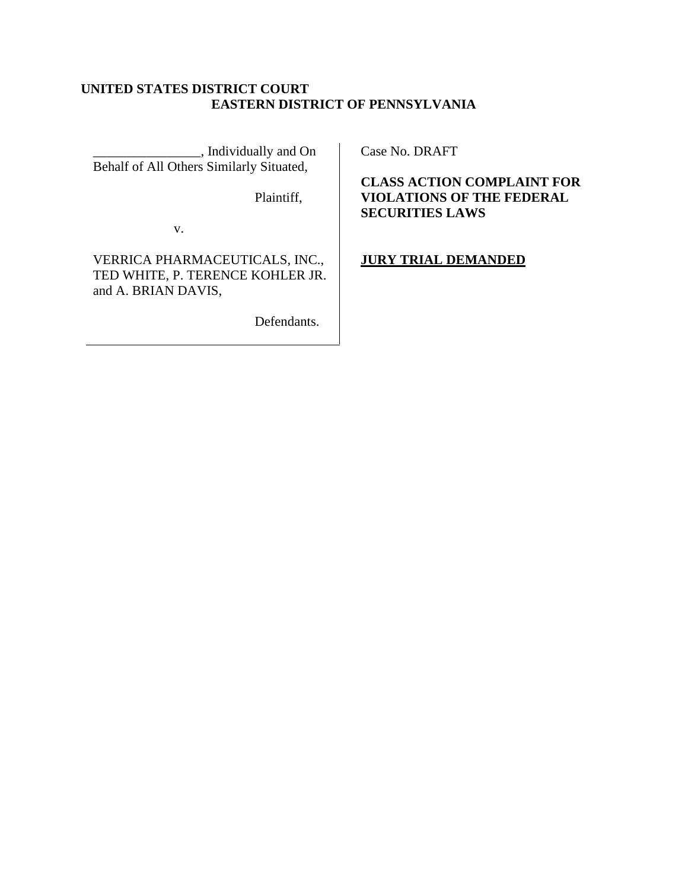# **UNITED STATES DISTRICT COURT EASTERN DISTRICT OF PENNSYLVANIA**

\_\_\_\_\_\_\_\_\_\_\_\_\_\_\_\_, Individually and On Behalf of All Others Similarly Situated,

Plaintiff,

v.

VERRICA PHARMACEUTICALS, INC., TED WHITE, P. TERENCE KOHLER JR. and A. BRIAN DAVIS,

Defendants.

Case No. DRAFT

**CLASS ACTION COMPLAINT FOR VIOLATIONS OF THE FEDERAL SECURITIES LAWS**

**JURY TRIAL DEMANDED**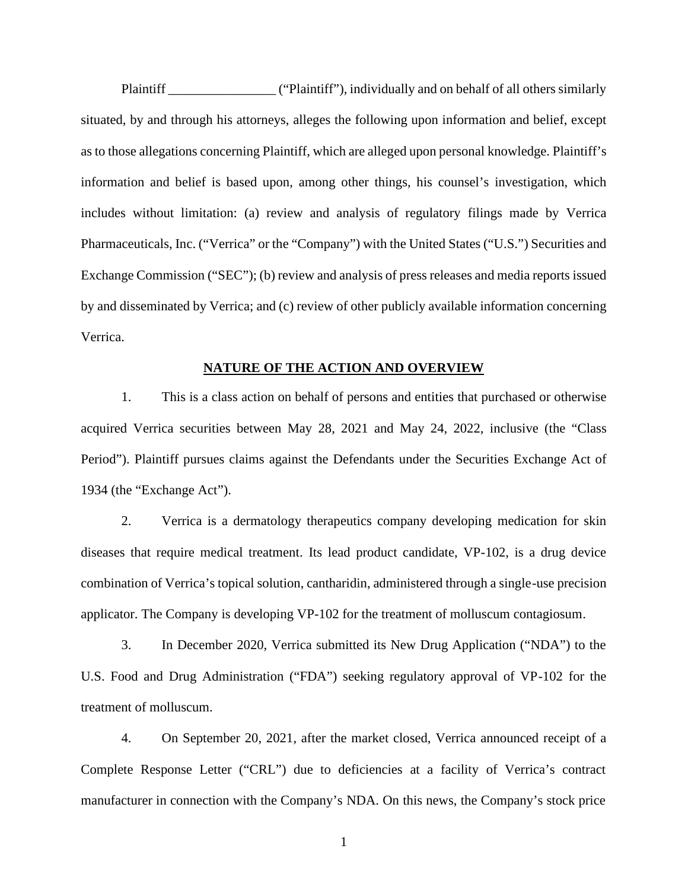Plaintiff \_\_\_\_\_\_\_\_\_\_\_\_\_\_\_\_ ("Plaintiff"), individually and on behalf of all others similarly situated, by and through his attorneys, alleges the following upon information and belief, except as to those allegations concerning Plaintiff, which are alleged upon personal knowledge. Plaintiff's information and belief is based upon, among other things, his counsel's investigation, which includes without limitation: (a) review and analysis of regulatory filings made by Verrica Pharmaceuticals, Inc. ("Verrica" or the "Company") with the United States ("U.S.") Securities and Exchange Commission ("SEC"); (b) review and analysis of press releases and media reports issued by and disseminated by Verrica; and (c) review of other publicly available information concerning Verrica.

#### **NATURE OF THE ACTION AND OVERVIEW**

1. This is a class action on behalf of persons and entities that purchased or otherwise acquired Verrica securities between May 28, 2021 and May 24, 2022, inclusive (the "Class Period"). Plaintiff pursues claims against the Defendants under the Securities Exchange Act of 1934 (the "Exchange Act").

2. Verrica is a dermatology therapeutics company developing medication for skin diseases that require medical treatment. Its lead product candidate, VP-102, is a drug device combination of Verrica's topical solution, cantharidin, administered through a single-use precision applicator. The Company is developing VP-102 for the treatment of molluscum contagiosum.

3. In December 2020, Verrica submitted its New Drug Application ("NDA") to the U.S. Food and Drug Administration ("FDA") seeking regulatory approval of VP-102 for the treatment of molluscum.

4. On September 20, 2021, after the market closed, Verrica announced receipt of a Complete Response Letter ("CRL") due to deficiencies at a facility of Verrica's contract manufacturer in connection with the Company's NDA. On this news, the Company's stock price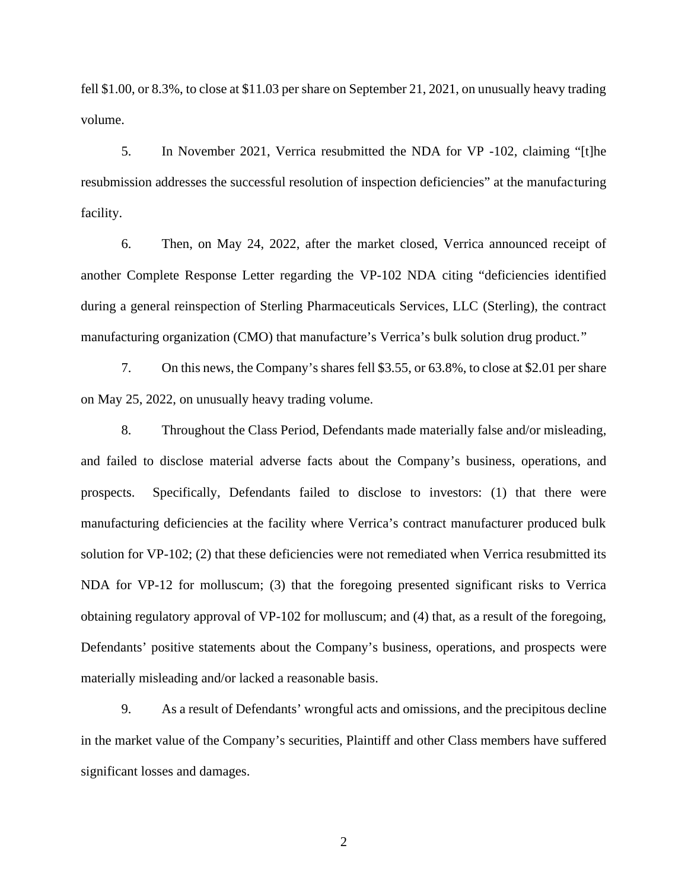fell \$1.00, or 8.3%, to close at \$11.03 per share on September 21, 2021, on unusually heavy trading volume.

5. In November 2021, Verrica resubmitted the NDA for VP -102, claiming "[t]he resubmission addresses the successful resolution of inspection deficiencies" at the manufacturing facility.

6. Then, on May 24, 2022, after the market closed, Verrica announced receipt of another Complete Response Letter regarding the VP-102 NDA citing "deficiencies identified during a general reinspection of Sterling Pharmaceuticals Services, LLC (Sterling), the contract manufacturing organization (CMO) that manufacture's Verrica's bulk solution drug product."

7. On this news, the Company's shares fell \$3.55, or 63.8%, to close at \$2.01 per share on May 25, 2022, on unusually heavy trading volume.

8. Throughout the Class Period, Defendants made materially false and/or misleading, and failed to disclose material adverse facts about the Company's business, operations, and prospects. Specifically, Defendants failed to disclose to investors: (1) that there were manufacturing deficiencies at the facility where Verrica's contract manufacturer produced bulk solution for VP-102; (2) that these deficiencies were not remediated when Verrica resubmitted its NDA for VP-12 for molluscum; (3) that the foregoing presented significant risks to Verrica obtaining regulatory approval of VP-102 for molluscum; and (4) that, as a result of the foregoing, Defendants' positive statements about the Company's business, operations, and prospects were materially misleading and/or lacked a reasonable basis.

9. As a result of Defendants' wrongful acts and omissions, and the precipitous decline in the market value of the Company's securities, Plaintiff and other Class members have suffered significant losses and damages.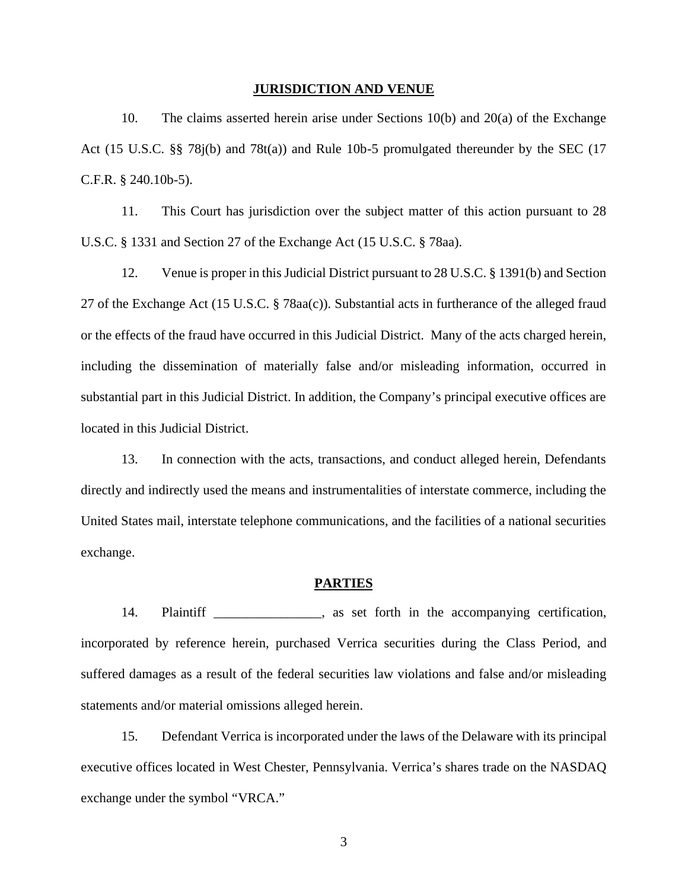#### **JURISDICTION AND VENUE**

10. The claims asserted herein arise under Sections 10(b) and 20(a) of the Exchange Act (15 U.S.C. §§ 78j(b) and 78t(a)) and Rule 10b-5 promulgated thereunder by the SEC (17 C.F.R. § 240.10b-5).

11. This Court has jurisdiction over the subject matter of this action pursuant to 28 U.S.C. § 1331 and Section 27 of the Exchange Act (15 U.S.C. § 78aa).

12. Venue is proper in this Judicial District pursuant to 28 U.S.C. § 1391(b) and Section 27 of the Exchange Act (15 U.S.C. § 78aa(c)). Substantial acts in furtherance of the alleged fraud or the effects of the fraud have occurred in this Judicial District. Many of the acts charged herein, including the dissemination of materially false and/or misleading information, occurred in substantial part in this Judicial District. In addition, the Company's principal executive offices are located in this Judicial District.

13. In connection with the acts, transactions, and conduct alleged herein, Defendants directly and indirectly used the means and instrumentalities of interstate commerce, including the United States mail, interstate telephone communications, and the facilities of a national securities exchange.

### **PARTIES**

14. Plaintiff and a set forth in the accompanying certification, incorporated by reference herein, purchased Verrica securities during the Class Period, and suffered damages as a result of the federal securities law violations and false and/or misleading statements and/or material omissions alleged herein.

15. Defendant Verrica is incorporated under the laws of the Delaware with its principal executive offices located in West Chester, Pennsylvania. Verrica's shares trade on the NASDAQ exchange under the symbol "VRCA."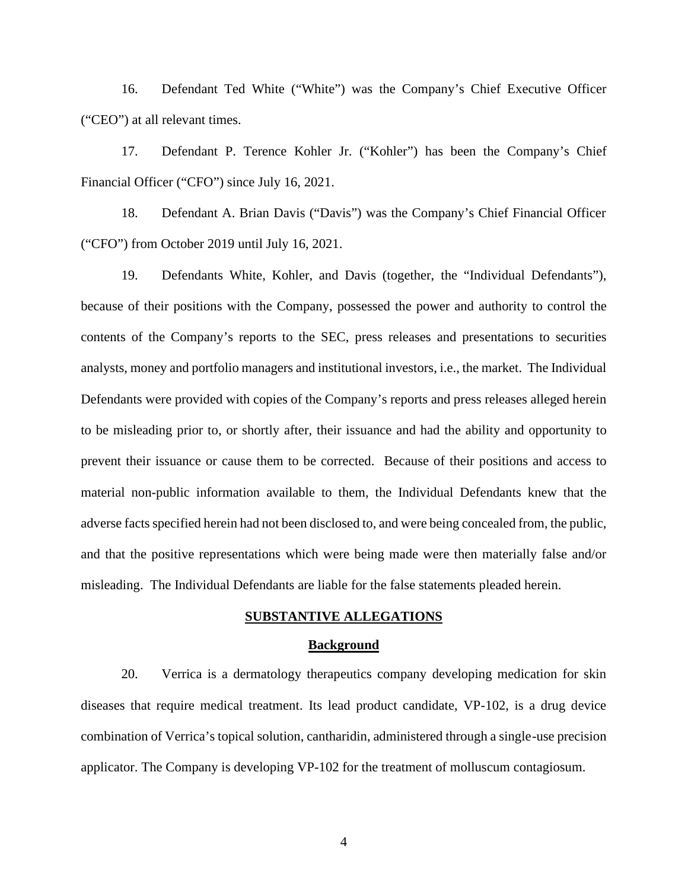16. Defendant Ted White ("White") was the Company's Chief Executive Officer ("CEO") at all relevant times.

17. Defendant P. Terence Kohler Jr. ("Kohler") has been the Company's Chief Financial Officer ("CFO") since July 16, 2021.

18. Defendant A. Brian Davis ("Davis") was the Company's Chief Financial Officer ("CFO") from October 2019 until July 16, 2021.

19. Defendants White, Kohler, and Davis (together, the "Individual Defendants"), because of their positions with the Company, possessed the power and authority to control the contents of the Company's reports to the SEC, press releases and presentations to securities analysts, money and portfolio managers and institutional investors, i.e., the market. The Individual Defendants were provided with copies of the Company's reports and press releases alleged herein to be misleading prior to, or shortly after, their issuance and had the ability and opportunity to prevent their issuance or cause them to be corrected. Because of their positions and access to material non-public information available to them, the Individual Defendants knew that the adverse facts specified herein had not been disclosed to, and were being concealed from, the public, and that the positive representations which were being made were then materially false and/or misleading. The Individual Defendants are liable for the false statements pleaded herein.

## **SUBSTANTIVE ALLEGATIONS**

## **Background**

20. Verrica is a dermatology therapeutics company developing medication for skin diseases that require medical treatment. Its lead product candidate, VP-102, is a drug device combination of Verrica's topical solution, cantharidin, administered through a single-use precision applicator. The Company is developing VP-102 for the treatment of molluscum contagiosum.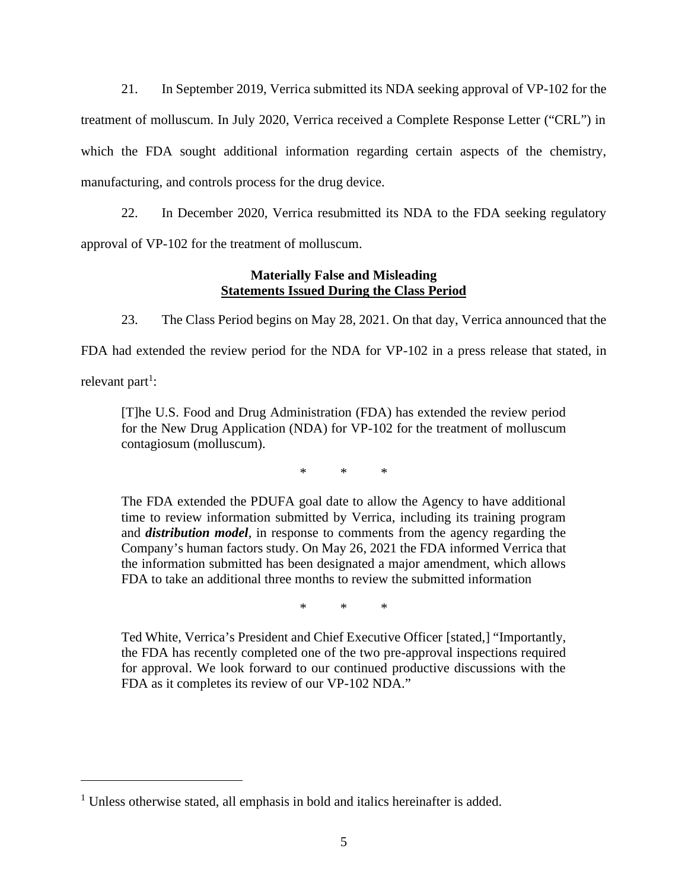21. In September 2019, Verrica submitted its NDA seeking approval of VP-102 for the treatment of molluscum. In July 2020, Verrica received a Complete Response Letter ("CRL") in which the FDA sought additional information regarding certain aspects of the chemistry, manufacturing, and controls process for the drug device.

22. In December 2020, Verrica resubmitted its NDA to the FDA seeking regulatory approval of VP-102 for the treatment of molluscum.

# **Materially False and Misleading Statements Issued During the Class Period**

23. The Class Period begins on May 28, 2021. On that day, Verrica announced that the

FDA had extended the review period for the NDA for VP-102 in a press release that stated, in relevant part<sup>1</sup>:

[T]he U.S. Food and Drug Administration (FDA) has extended the review period for the New Drug Application (NDA) for VP-102 for the treatment of molluscum contagiosum (molluscum).

\* \* \*

The FDA extended the PDUFA goal date to allow the Agency to have additional time to review information submitted by Verrica, including its training program and *distribution model*, in response to comments from the agency regarding the Company's human factors study. On May 26, 2021 the FDA informed Verrica that the information submitted has been designated a major amendment, which allows FDA to take an additional three months to review the submitted information

\* \* \*

Ted White, Verrica's President and Chief Executive Officer [stated,] "Importantly, the FDA has recently completed one of the two pre-approval inspections required for approval. We look forward to our continued productive discussions with the FDA as it completes its review of our VP-102 NDA."

<sup>&</sup>lt;sup>1</sup> Unless otherwise stated, all emphasis in bold and italics hereinafter is added.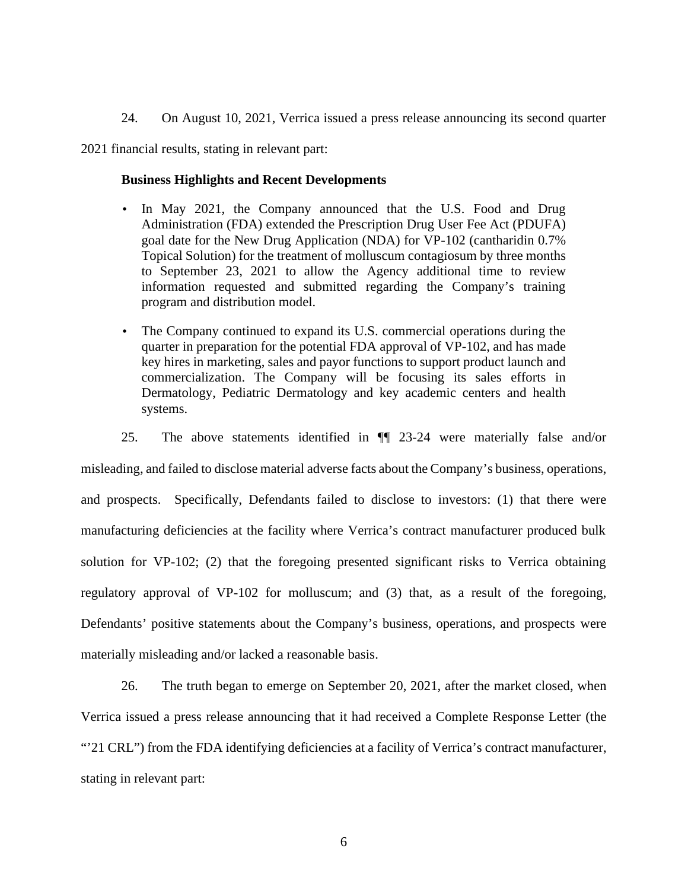24. On August 10, 2021, Verrica issued a press release announcing its second quarter

2021 financial results, stating in relevant part:

#### **Business Highlights and Recent Developments**

- In May 2021, the Company announced that the U.S. Food and Drug Administration (FDA) extended the Prescription Drug User Fee Act (PDUFA) goal date for the New Drug Application (NDA) for VP-102 (cantharidin 0.7% Topical Solution) for the treatment of molluscum contagiosum by three months to September 23, 2021 to allow the Agency additional time to review information requested and submitted regarding the Company's training program and distribution model.
- The Company continued to expand its U.S. commercial operations during the quarter in preparation for the potential FDA approval of VP-102, and has made key hires in marketing, sales and payor functions to support product launch and commercialization. The Company will be focusing its sales efforts in Dermatology, Pediatric Dermatology and key academic centers and health systems.

25. The above statements identified in ¶¶ 23-24 were materially false and/or

misleading, and failed to disclose material adverse facts about the Company's business, operations, and prospects. Specifically, Defendants failed to disclose to investors: (1) that there were manufacturing deficiencies at the facility where Verrica's contract manufacturer produced bulk solution for VP-102; (2) that the foregoing presented significant risks to Verrica obtaining regulatory approval of VP-102 for molluscum; and (3) that, as a result of the foregoing, Defendants' positive statements about the Company's business, operations, and prospects were materially misleading and/or lacked a reasonable basis.

26. The truth began to emerge on September 20, 2021, after the market closed, when Verrica issued a press release announcing that it had received a Complete Response Letter (the "21 CRL") from the FDA identifying deficiencies at a facility of Verrica's contract manufacturer, stating in relevant part: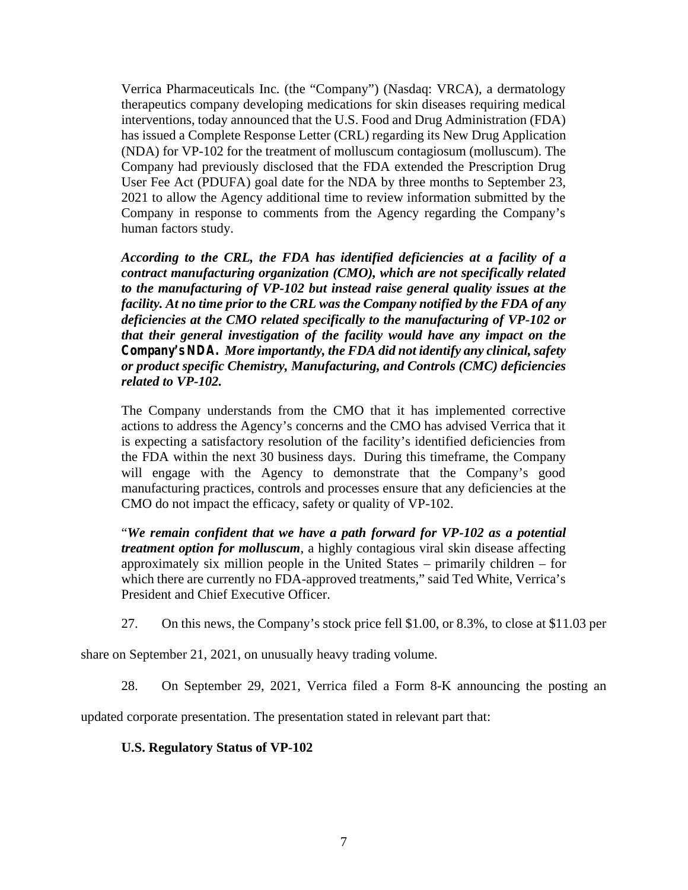Verrica Pharmaceuticals Inc. (the "Company") (Nasdaq: VRCA), a dermatology therapeutics company developing medications for skin diseases requiring medical interventions, today announced that the U.S. Food and Drug Administration (FDA) has issued a Complete Response Letter (CRL) regarding its New Drug Application (NDA) for VP-102 for the treatment of molluscum contagiosum (molluscum). The Company had previously disclosed that the FDA extended the Prescription Drug User Fee Act (PDUFA) goal date for the NDA by three months to September 23, 2021 to allow the Agency additional time to review information submitted by the Company in response to comments from the Agency regarding the Company's human factors study.

*According to the CRL, the FDA has identified deficiencies at a facility of a contract manufacturing organization (CMO), which are not specifically related to the manufacturing of VP-102 but instead raise general quality issues at the facility. At no time prior to the CRL was the Company notified by the FDA of any deficiencies at the CMO related specifically to the manufacturing of VP-102 or that their general investigation of the facility would have any impact on the Company's NDA. More importantly, the FDA did not identify any clinical, safety or product specific Chemistry, Manufacturing, and Controls (CMC) deficiencies related to VP-102.*

The Company understands from the CMO that it has implemented corrective actions to address the Agency's concerns and the CMO has advised Verrica that it is expecting a satisfactory resolution of the facility's identified deficiencies from the FDA within the next 30 business days. During this timeframe, the Company will engage with the Agency to demonstrate that the Company's good manufacturing practices, controls and processes ensure that any deficiencies at the CMO do not impact the efficacy, safety or quality of VP-102.

"*We remain confident that we have a path forward for VP-102 as a potential treatment option for molluscum*, a highly contagious viral skin disease affecting approximately six million people in the United States – primarily children – for which there are currently no FDA-approved treatments," said Ted White, Verrica's President and Chief Executive Officer.

27. On this news, the Company's stock price fell \$1.00, or 8.3%, to close at \$11.03 per

share on September 21, 2021, on unusually heavy trading volume.

28. On September 29, 2021, Verrica filed a Form 8-K announcing the posting an

updated corporate presentation. The presentation stated in relevant part that:

# **U.S. Regulatory Status of VP-102**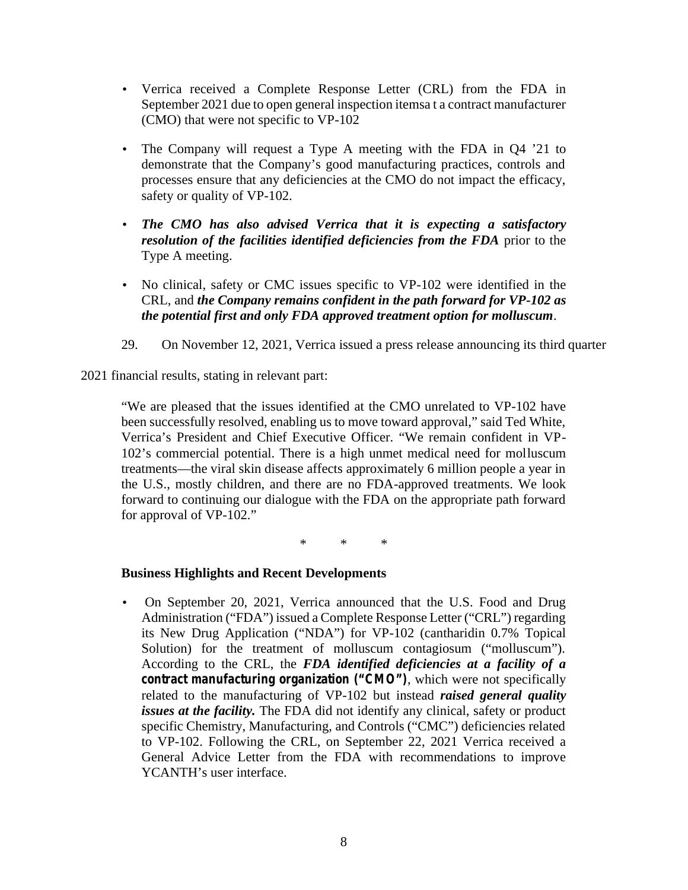- Verrica received a Complete Response Letter (CRL) from the FDA in September 2021 due to open general inspection itemsa t a contract manufacturer (CMO) that were not specific to VP-102
- The Company will request a Type A meeting with the FDA in Q4 '21 to demonstrate that the Company's good manufacturing practices, controls and processes ensure that any deficiencies at the CMO do not impact the efficacy, safety or quality of VP-102.
- *The CMO has also advised Verrica that it is expecting a satisfactory resolution of the facilities identified deficiencies from the FDA* prior to the Type A meeting.
- No clinical, safety or CMC issues specific to VP-102 were identified in the CRL, and *the Company remains confident in the path forward for VP-102 as the potential first and only FDA approved treatment option for molluscum*.
- 29. On November 12, 2021, Verrica issued a press release announcing its third quarter

2021 financial results, stating in relevant part:

"We are pleased that the issues identified at the CMO unrelated to VP-102 have been successfully resolved, enabling us to move toward approval," said Ted White, Verrica's President and Chief Executive Officer. "We remain confident in VP- 102's commercial potential. There is a high unmet medical need for molluscum treatments—the viral skin disease affects approximately 6 million people a year in the U.S., mostly children, and there are no FDA-approved treatments. We look forward to continuing our dialogue with the FDA on the appropriate path forward for approval of VP-102."

\* \* \*

# **Business Highlights and Recent Developments**

 On September 20, 2021, Verrica announced that the U.S. Food and Drug Administration ("FDA") issued a Complete Response Letter ("CRL") regarding its New Drug Application ("NDA") for VP-102 (cantharidin 0.7% Topical Solution) for the treatment of molluscum contagiosum ("molluscum"). According to the CRL, the *FDA identified deficiencies at a facility of a contract manufacturing organization ("CMO")*, which were not specifically related to the manufacturing of VP-102 but instead *raised general quality issues at the facility.* The FDA did not identify any clinical, safety or product specific Chemistry, Manufacturing, and Controls ("CMC") deficiencies related to VP-102. Following the CRL, on September 22, 2021 Verrica received a General Advice Letter from the FDA with recommendations to improve YCANTH's user interface.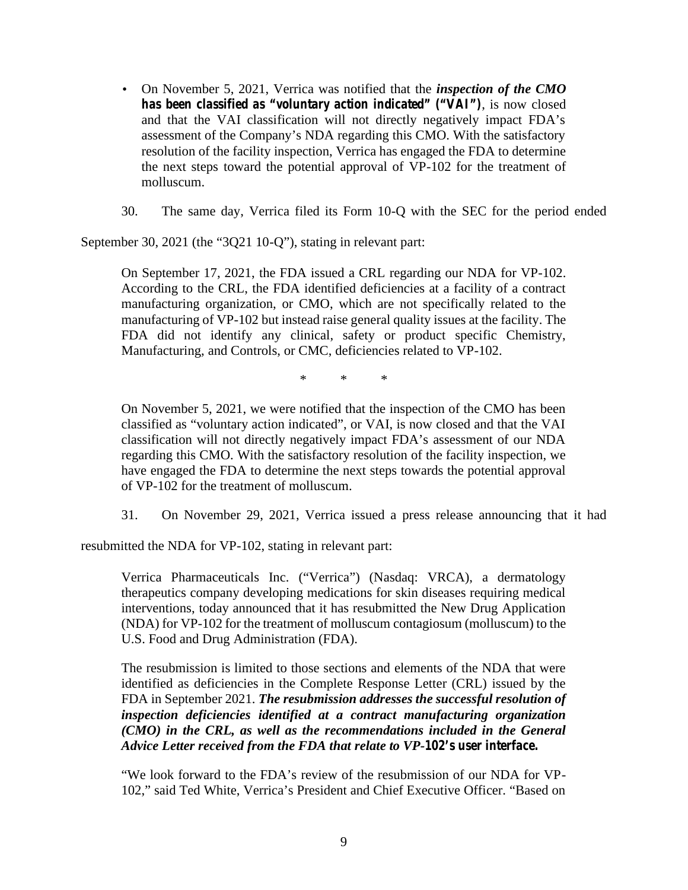- On November 5, 2021, Verrica was notified that the *inspection of the CMO has been classified as "voluntary action indicated" ("VAI")*, is now closed and that the VAI classification will not directly negatively impact FDA's assessment of the Company's NDA regarding this CMO. With the satisfactory resolution of the facility inspection, Verrica has engaged the FDA to determine the next steps toward the potential approval of VP-102 for the treatment of molluscum.
- 30. The same day, Verrica filed its Form 10-Q with the SEC for the period ended

September 30, 2021 (the "3Q21 10-Q"), stating in relevant part:

On September 17, 2021, the FDA issued a CRL regarding our NDA for VP-102. According to the CRL, the FDA identified deficiencies at a facility of a contract manufacturing organization, or CMO, which are not specifically related to the manufacturing of VP-102 but instead raise general quality issues at the facility. The FDA did not identify any clinical, safety or product specific Chemistry, Manufacturing, and Controls, or CMC, deficiencies related to VP-102.

\* \* \*

On November 5, 2021, we were notified that the inspection of the CMO has been classified as "voluntary action indicated", or VAI, is now closed and that the VAI classification will not directly negatively impact FDA's assessment of our NDA regarding this CMO. With the satisfactory resolution of the facility inspection, we have engaged the FDA to determine the next steps towards the potential approval of VP-102 for the treatment of molluscum.

31. On November 29, 2021, Verrica issued a press release announcing that it had

resubmitted the NDA for VP-102, stating in relevant part:

Verrica Pharmaceuticals Inc. ("Verrica") (Nasdaq: VRCA), a dermatology therapeutics company developing medications for skin diseases requiring medical interventions, today announced that it has resubmitted the New Drug Application (NDA) for VP-102 for the treatment of molluscum contagiosum (molluscum) to the U.S. Food and Drug Administration (FDA).

The resubmission is limited to those sections and elements of the NDA that were identified as deficiencies in the Complete Response Letter (CRL) issued by the FDA in September 2021. *The resubmission addresses the successful resolution of inspection deficiencies identified at a contract manufacturing organization (CMO) in the CRL, as well as the recommendations included in the General Advice Letter received from the FDA that relate to VP-102's user interface.*

"We look forward to the FDA's review of the resubmission of our NDA for VP- 102," said Ted White, Verrica's President and Chief Executive Officer. "Based on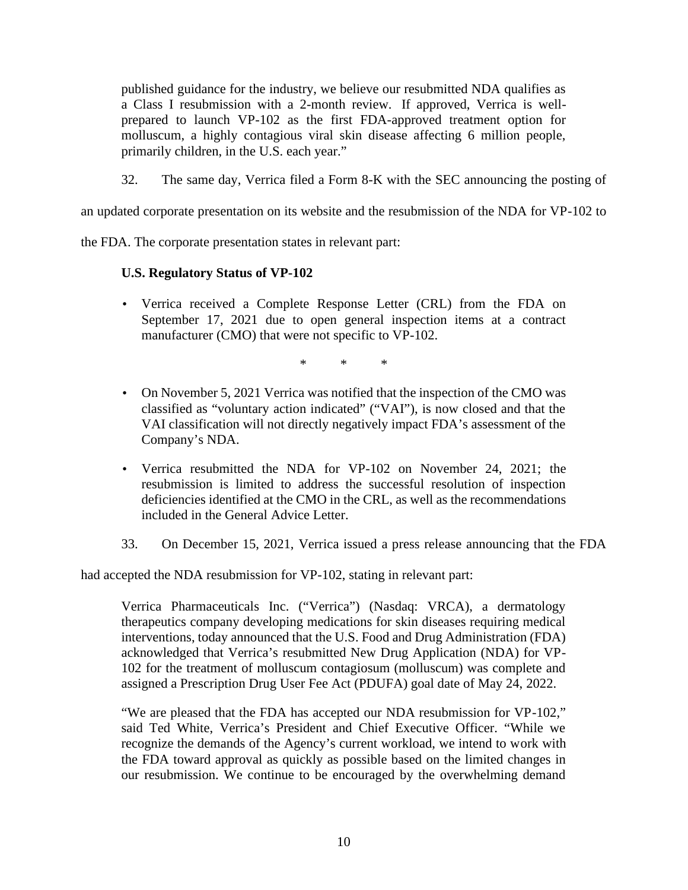published guidance for the industry, we believe our resubmitted NDA qualifies as a Class I resubmission with a 2-month review. If approved, Verrica is well prepared to launch VP-102 as the first FDA-approved treatment option for molluscum, a highly contagious viral skin disease affecting 6 million people, primarily children, in the U.S. each year."

32. The same day, Verrica filed a Form 8-K with the SEC announcing the posting of

an updated corporate presentation on its website and the resubmission of the NDA for VP-102 to

the FDA. The corporate presentation states in relevant part:

# **U.S. Regulatory Status of VP-102**

 Verrica received a Complete Response Letter (CRL) from the FDA on September 17, 2021 due to open general inspection items at a contract manufacturer (CMO) that were not specific to VP-102.

\* \* \*

- On November 5, 2021 Verrica was notified that the inspection of the CMO was classified as "voluntary action indicated" ("VAI"), is now closed and that the VAI classification will not directly negatively impact FDA's assessment of the Company's NDA.
- Verrica resubmitted the NDA for VP-102 on November 24, 2021; the resubmission is limited to address the successful resolution of inspection deficiencies identified at the CMO in the CRL, as well as the recommendations included in the General Advice Letter.
- 33. On December 15, 2021, Verrica issued a press release announcing that the FDA

had accepted the NDA resubmission for VP-102, stating in relevant part:

Verrica Pharmaceuticals Inc. ("Verrica") (Nasdaq: VRCA), a dermatology therapeutics company developing medications for skin diseases requiring medical interventions, today announced that the U.S. Food and Drug Administration (FDA) acknowledged that Verrica's resubmitted New Drug Application (NDA) for VP- 102 for the treatment of molluscum contagiosum (molluscum) was complete and assigned a Prescription Drug User Fee Act (PDUFA) goal date of May 24, 2022.

"We are pleased that the FDA has accepted our NDA resubmission for VP-102," said Ted White, Verrica's President and Chief Executive Officer. "While we recognize the demands of the Agency's current workload, we intend to work with the FDA toward approval as quickly as possible based on the limited changes in our resubmission. We continue to be encouraged by the overwhelming demand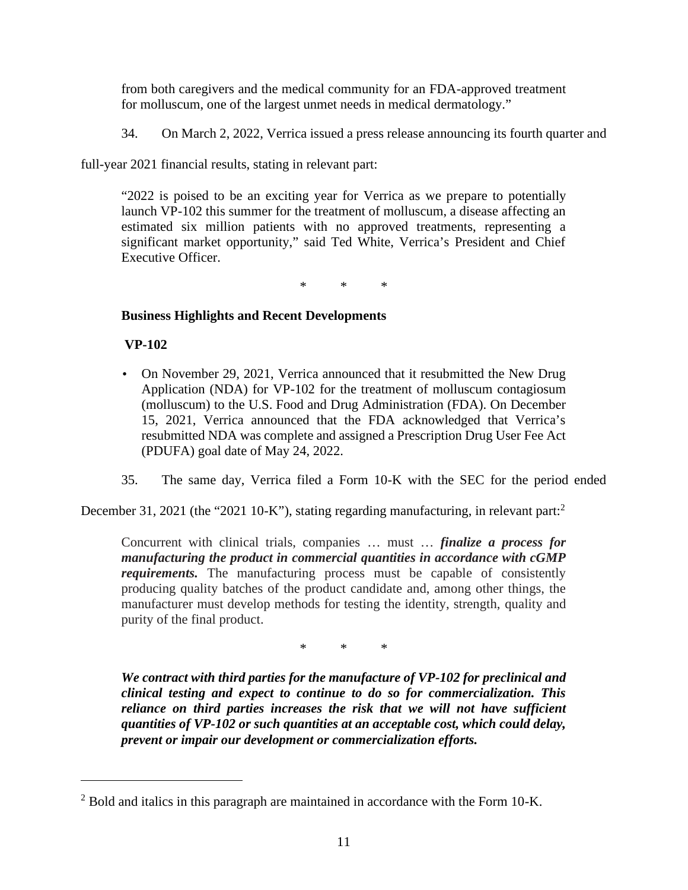from both caregivers and the medical community for an FDA-approved treatment for molluscum, one of the largest unmet needs in medical dermatology."

34. On March 2, 2022, Verrica issued a press release announcing its fourth quarter and

full-year 2021 financial results, stating in relevant part:

"2022 is poised to be an exciting year for Verrica as we prepare to potentially launch VP-102 this summer for the treatment of molluscum, a disease affecting an estimated six million patients with no approved treatments, representing a significant market opportunity," said Ted White, Verrica's President and Chief Executive Officer.

\* \* \*

# **Business Highlights and Recent Developments**

**VP-102**

- On November 29, 2021, Verrica announced that it resubmitted the New Drug Application (NDA) for VP-102 for the treatment of molluscum contagiosum (molluscum) to the U.S. Food and Drug Administration (FDA). On December 15, 2021, Verrica announced that the FDA acknowledged that Verrica's resubmitted NDA was complete and assigned a Prescription Drug User Fee Act (PDUFA) goal date of May 24, 2022.
- 35. The same day, Verrica filed a Form 10-K with the SEC for the period ended

December 31, 2021 (the "2021 10-K"), stating regarding manufacturing, in relevant part:<sup>2</sup>

Concurrent with clinical trials, companies … must … *finalize a process for manufacturing the product in commercial quantities in accordance with cGMP requirements.* The manufacturing process must be capable of consistently producing quality batches of the product candidate and, among other things, the manufacturer must develop methods for testing the identity, strength, quality and purity of the final product.

\* \* \*

*We contract with third parties for the manufacture of VP-102 for preclinical and clinical testing and expect to continue to do so for commercialization. This reliance on third parties increases the risk that we will not have sufficient quantities of VP-102 or such quantities at an acceptable cost, which could delay, prevent or impair our development or commercialization efforts.*

 $2$  Bold and italics in this paragraph are maintained in accordance with the Form 10-K.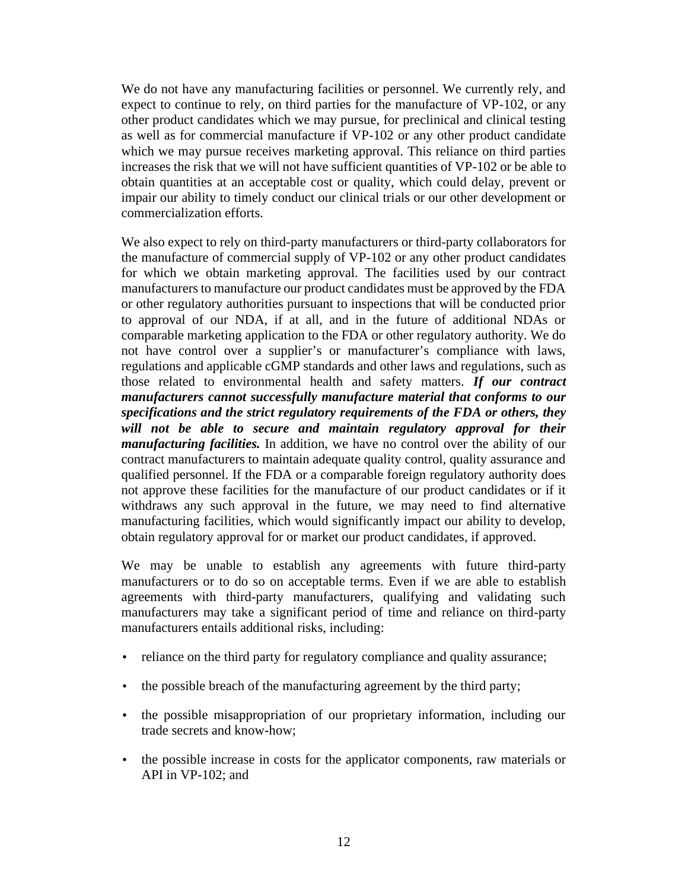We do not have any manufacturing facilities or personnel. We currently rely, and expect to continue to rely, on third parties for the manufacture of VP-102, or any other product candidates which we may pursue, for preclinical and clinical testing as well as for commercial manufacture if VP-102 or any other product candidate which we may pursue receives marketing approval. This reliance on third parties increases the risk that we will not have sufficient quantities of VP-102 or be able to obtain quantities at an acceptable cost or quality, which could delay, prevent or impair our ability to timely conduct our clinical trials or our other development or commercialization efforts.

We also expect to rely on third-party manufacturers or third-party collaborators for the manufacture of commercial supply of VP-102 or any other product candidates for which we obtain marketing approval. The facilities used by our contract manufacturers to manufacture our product candidates must be approved by the FDA or other regulatory authorities pursuant to inspections that will be conducted prior to approval of our NDA, if at all, and in the future of additional NDAs or comparable marketing application to the FDA or other regulatory authority. We do not have control over a supplier's or manufacturer's compliance with laws, regulations and applicable cGMP standards and other laws and regulations, such as those related to environmental health and safety matters. *If our contract manufacturers cannot successfully manufacture material that conforms to our specifications and the strict regulatory requirements of the FDA or others, they will not be able to secure and maintain regulatory approval for their manufacturing facilities.* In addition, we have no control over the ability of our contract manufacturers to maintain adequate quality control, quality assurance and qualified personnel. If the FDA or a comparable foreign regulatory authority does not approve these facilities for the manufacture of our product candidates or if it withdraws any such approval in the future, we may need to find alternative manufacturing facilities, which would significantly impact our ability to develop, obtain regulatory approval for or market our product candidates, if approved.

We may be unable to establish any agreements with future third-party manufacturers or to do so on acceptable terms. Even if we are able to establish agreements with third-party manufacturers, qualifying and validating such manufacturers may take a significant period of time and reliance on third-party manufacturers entails additional risks, including:

- reliance on the third party for regulatory compliance and quality assurance;
- the possible breach of the manufacturing agreement by the third party;
- the possible misappropriation of our proprietary information, including our trade secrets and know-how;
- the possible increase in costs for the applicator components, raw materials or API in VP-102; and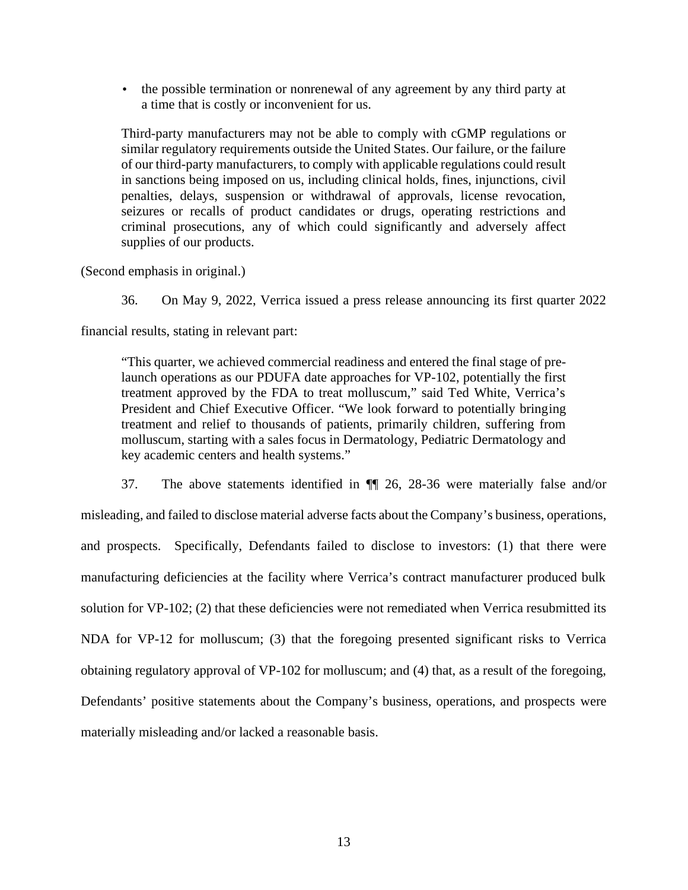the possible termination or nonrenewal of any agreement by any third party at a time that is costly or inconvenient for us.

Third-party manufacturers may not be able to comply with cGMP regulations or similar regulatory requirements outside the United States. Our failure, or the failure of our third-party manufacturers, to comply with applicable regulations could result in sanctions being imposed on us, including clinical holds, fines, injunctions, civil penalties, delays, suspension or withdrawal of approvals, license revocation, seizures or recalls of product candidates or drugs, operating restrictions and criminal prosecutions, any of which could significantly and adversely affect supplies of our products.

(Second emphasis in original.)

36. On May 9, 2022, Verrica issued a press release announcing its first quarter 2022

financial results, stating in relevant part:

"This quarter, we achieved commercial readiness and entered the final stage of prelaunch operations as our PDUFA date approaches for VP-102, potentially the first treatment approved by the FDA to treat molluscum," said Ted White, Verrica's President and Chief Executive Officer. "We look forward to potentially bringing treatment and relief to thousands of patients, primarily children, suffering from molluscum, starting with a sales focus in Dermatology, Pediatric Dermatology and key academic centers and health systems."

37. The above statements identified in ¶¶ 26, 28-36 were materially false and/or misleading, and failed to disclose material adverse facts about the Company's business, operations, and prospects. Specifically, Defendants failed to disclose to investors: (1) that there were manufacturing deficiencies at the facility where Verrica's contract manufacturer produced bulk solution for VP-102; (2) that these deficiencies were not remediated when Verrica resubmitted its NDA for VP-12 for molluscum; (3) that the foregoing presented significant risks to Verrica obtaining regulatory approval of VP-102 for molluscum; and (4) that, as a result of the foregoing, Defendants' positive statements about the Company's business, operations, and prospects were materially misleading and/or lacked a reasonable basis.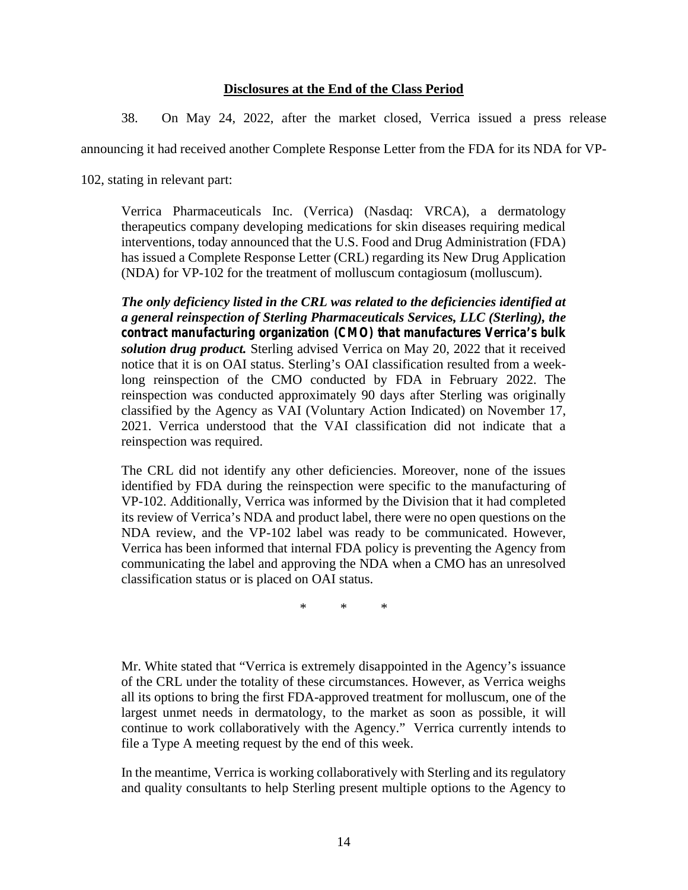## **Disclosures at the End of the Class Period**

38. On May 24, 2022, after the market closed, Verrica issued a press release

announcing it had received another Complete Response Letter from the FDA for its NDA for VP-

102, stating in relevant part:

Verrica Pharmaceuticals Inc. (Verrica) (Nasdaq: VRCA), a dermatology therapeutics company developing medications for skin diseases requiring medical interventions, today announced that the U.S. Food and Drug Administration (FDA) has issued a Complete Response Letter (CRL) regarding its New Drug Application (NDA) for VP-102 for the treatment of molluscum contagiosum (molluscum).

*The only deficiency listed in the CRL was related to the deficiencies identified at a general reinspection of Sterling Pharmaceuticals Services, LLC (Sterling), the contract manufacturing organization (CMO) that manufactures Verrica's bulk solution drug product.* Sterling advised Verrica on May 20, 2022 that it received notice that it is on OAI status. Sterling's OAI classification resulted from a weeklong reinspection of the CMO conducted by FDA in February 2022. The reinspection was conducted approximately 90 days after Sterling was originally classified by the Agency as VAI (Voluntary Action Indicated) on November 17, 2021. Verrica understood that the VAI classification did not indicate that a reinspection was required.

The CRL did not identify any other deficiencies. Moreover, none of the issues identified by FDA during the reinspection were specific to the manufacturing of VP-102. Additionally, Verrica was informed by the Division that it had completed its review of Verrica's NDA and product label, there were no open questions on the NDA review, and the VP-102 label was ready to be communicated. However, Verrica has been informed that internal FDA policy is preventing the Agency from communicating the label and approving the NDA when a CMO has an unresolved classification status or is placed on OAI status.

\* \* \*

Mr. White stated that "Verrica is extremely disappointed in the Agency's issuance of the CRL under the totality of these circumstances. However, as Verrica weighs all its options to bring the first FDA-approved treatment for molluscum, one of the largest unmet needs in dermatology, to the market as soon as possible, it will continue to work collaboratively with the Agency." Verrica currently intends to file a Type A meeting request by the end of this week.

In the meantime, Verrica is working collaboratively with Sterling and its regulatory and quality consultants to help Sterling present multiple options to the Agency to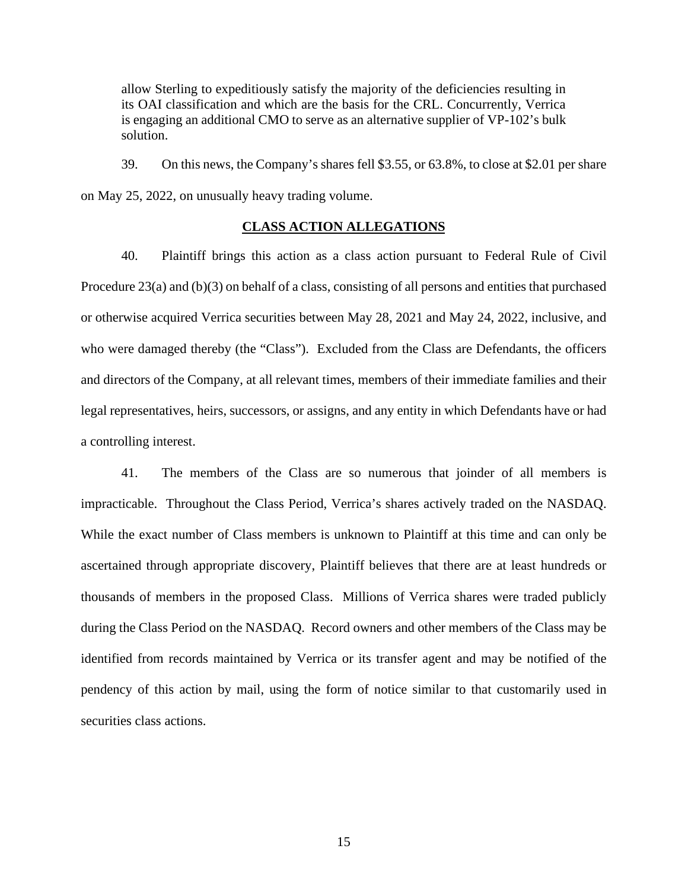allow Sterling to expeditiously satisfy the majority of the deficiencies resulting in its OAI classification and which are the basis for the CRL. Concurrently, Verrica is engaging an additional CMO to serve as an alternative supplier of VP-102's bulk solution.

39. On this news, the Company's shares fell \$3.55, or 63.8%, to close at \$2.01 per share on May 25, 2022, on unusually heavy trading volume.

## **CLASS ACTION ALLEGATIONS**

40. Plaintiff brings this action as a class action pursuant to Federal Rule of Civil Procedure 23(a) and (b)(3) on behalf of a class, consisting of all persons and entities that purchased or otherwise acquired Verrica securities between May 28, 2021 and May 24, 2022, inclusive, and who were damaged thereby (the "Class"). Excluded from the Class are Defendants, the officers and directors of the Company, at all relevant times, members of their immediate families and their legal representatives, heirs, successors, or assigns, and any entity in which Defendants have or had a controlling interest.

41. The members of the Class are so numerous that joinder of all members is impracticable. Throughout the Class Period, Verrica's shares actively traded on the NASDAQ. While the exact number of Class members is unknown to Plaintiff at this time and can only be ascertained through appropriate discovery, Plaintiff believes that there are at least hundreds or thousands of members in the proposed Class. Millions of Verrica shares were traded publicly during the Class Period on the NASDAQ. Record owners and other members of the Class may be identified from records maintained by Verrica or its transfer agent and may be notified of the pendency of this action by mail, using the form of notice similar to that customarily used in securities class actions.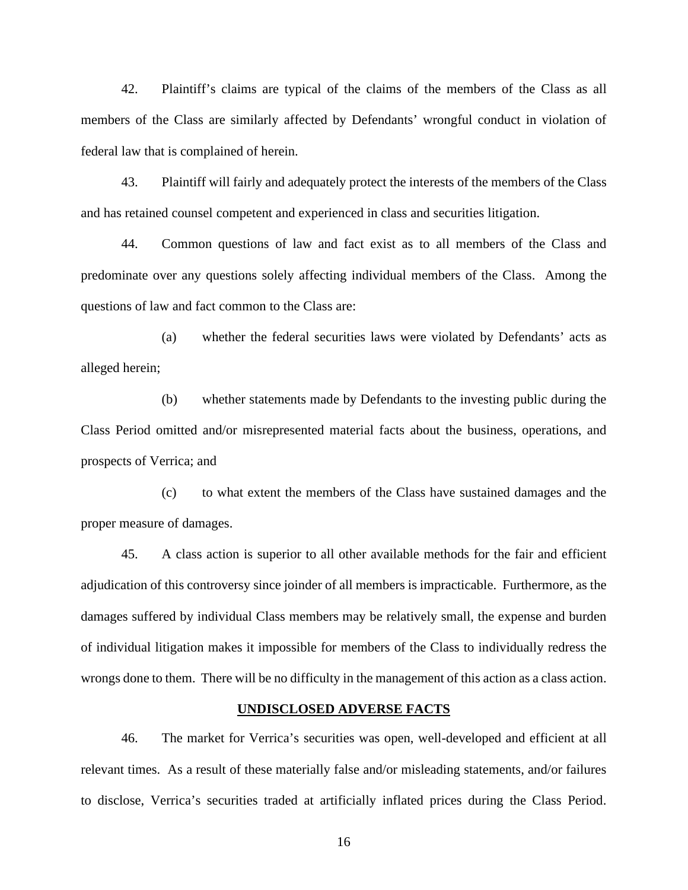42. Plaintiff's claims are typical of the claims of the members of the Class as all members of the Class are similarly affected by Defendants' wrongful conduct in violation of federal law that is complained of herein.

43. Plaintiff will fairly and adequately protect the interests of the members of the Class and has retained counsel competent and experienced in class and securities litigation.

44. Common questions of law and fact exist as to all members of the Class and predominate over any questions solely affecting individual members of the Class. Among the questions of law and fact common to the Class are:

(a) whether the federal securities laws were violated by Defendants' acts as alleged herein;

(b) whether statements made by Defendants to the investing public during the Class Period omitted and/or misrepresented material facts about the business, operations, and prospects of Verrica; and

(c) to what extent the members of the Class have sustained damages and the proper measure of damages.

45. A class action is superior to all other available methods for the fair and efficient adjudication of this controversy since joinder of all members is impracticable. Furthermore, as the damages suffered by individual Class members may be relatively small, the expense and burden of individual litigation makes it impossible for members of the Class to individually redress the wrongs done to them. There will be no difficulty in the management of this action as a class action.

### **UNDISCLOSED ADVERSE FACTS**

46. The market for Verrica's securities was open, well-developed and efficient at all relevant times. As a result of these materially false and/or misleading statements, and/or failures to disclose, Verrica's securities traded at artificially inflated prices during the Class Period.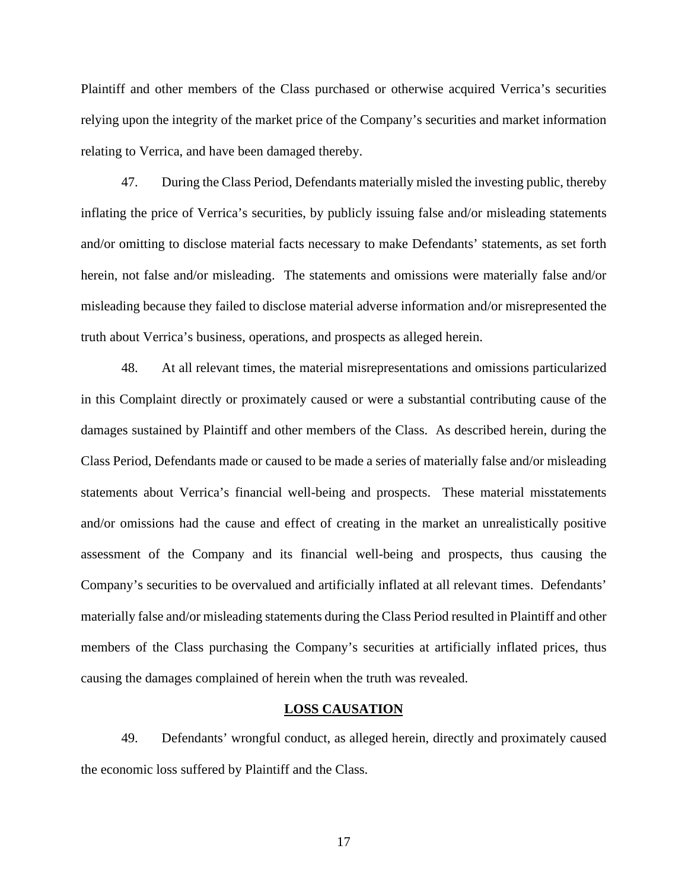Plaintiff and other members of the Class purchased orotherwise acquired Verrica's securities relying upon the integrity of the market price of the Company's securities and market information relating to Verrica, and have been damaged thereby.

47. During the Class Period, Defendants materially misled the investing public, thereby inflating the price of Verrica's securities, by publicly issuing false and/or misleading statements and/or omitting to disclose material facts necessary to make Defendants' statements, as set forth herein, not false and/or misleading. The statements and omissions were materially false and/or misleading because they failed to disclose material adverse information and/or misrepresented the truth about Verrica's business, operations, and prospects as alleged herein.

48. At all relevant times, the material misrepresentations and omissions particularized in this Complaint directly or proximately caused or were a substantial contributing cause of the damages sustained by Plaintiff and other members of the Class. As described herein, during the Class Period, Defendants made or caused to be made a series of materially false and/or misleading statements about Verrica's financial well-being and prospects. These material misstatements and/or omissions had the cause and effect of creating in the market an unrealistically positive assessment of the Company and its financial well-being and prospects, thus causing the Company's securities to be overvalued and artificially inflated at all relevant times. Defendants' materially false and/or misleading statements during the Class Period resulted in Plaintiff and other members of the Class purchasing the Company's securities at artificially inflated prices, thus causing the damages complained of herein when the truth was revealed.

### **LOSS CAUSATION**

49. Defendants' wrongful conduct, as alleged herein, directly and proximately caused the economic loss suffered by Plaintiff and the Class.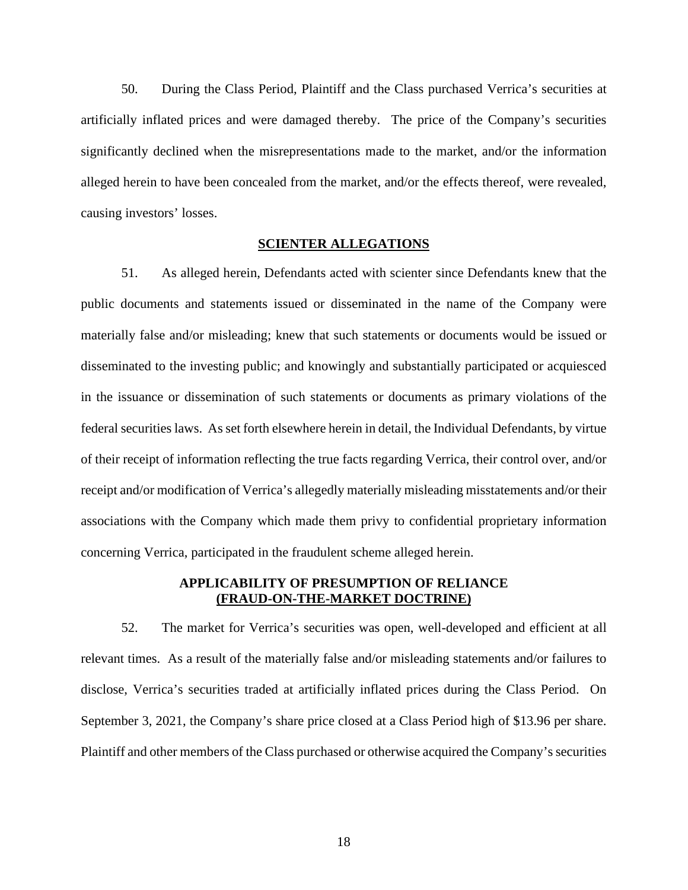50. During the Class Period, Plaintiff and the Class purchased Verrica's securities at artificially inflated prices and were damaged thereby. The price of the Company's securities significantly declined when the misrepresentations made to the market, and/or the information alleged herein to have been concealed from the market, and/or the effects thereof, were revealed, causing investors' losses.

#### **SCIENTER ALLEGATIONS**

51. As alleged herein, Defendants acted with scienter since Defendants knew that the public documents and statements issued or disseminated in the name of the Company were materially false and/or misleading; knew that such statements or documents would be issued or disseminated to the investing public; and knowingly and substantially participated or acquiesced in the issuance or dissemination of such statements or documents as primary violations of the federal securities laws. As set forth elsewhere herein in detail, the Individual Defendants, by virtue of their receipt of information reflecting the true facts regarding Verrica, their control over, and/or receipt and/or modification of Verrica's allegedly materially misleading misstatements and/or their associations with the Company which made them privy to confidential proprietary information concerning Verrica, participated in the fraudulent scheme alleged herein.

# **APPLICABILITY OF PRESUMPTION OF RELIANCE (FRAUD-ON-THE-MARKET DOCTRINE)**

52. The market for Verrica's securities was open, well-developed and efficient at all relevant times. As a result of the materially false and/or misleading statements and/or failures to disclose, Verrica's securities traded at artificially inflated prices during the Class Period. On September 3, 2021, the Company's share price closed at a Class Period high of \$13.96 per share. Plaintiff and other members of the Class purchased or otherwise acquired the Company's securities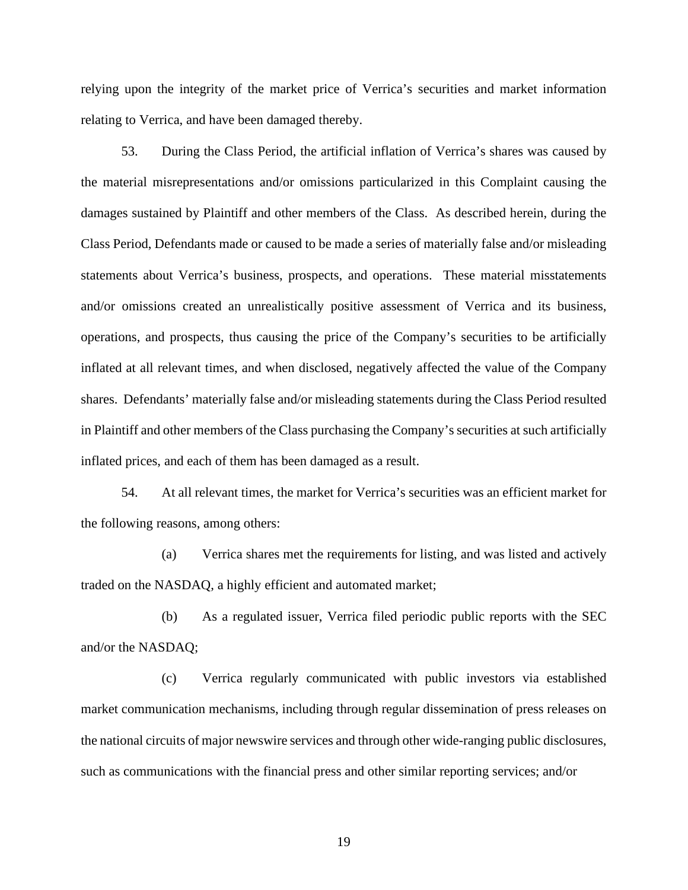relying upon the integrity of the market price of Verrica's securities and market information relating to Verrica, and have been damaged thereby.

53. During the Class Period, the artificial inflation of Verrica's shares was caused by the material misrepresentations and/or omissions particularized in this Complaint causing the damages sustained by Plaintiff and other members of the Class. As described herein, during the Class Period, Defendants made or caused to be made a series of materially false and/or misleading statements about Verrica's business, prospects, and operations. These material misstatements and/or omissions created an unrealistically positive assessment of Verrica and its business, operations, and prospects, thus causing the price of the Company's securities to be artificially inflated at all relevant times, and when disclosed, negatively affected the value of the Company shares. Defendants' materially false and/or misleading statements during the Class Period resulted in Plaintiff and other members of the Class purchasing the Company's securities at such artificially inflated prices, and each of them has been damaged as a result.

54. At all relevant times, the market for Verrica's securities was an efficient market for the following reasons, among others:

(a) Verrica shares met the requirements for listing, and was listed and actively traded on the NASDAQ, a highly efficient and automated market;

(b) As a regulated issuer, Verrica filed periodic public reports with the SEC and/or the NASDAQ;

(c) Verrica regularly communicated with public investors via established market communication mechanisms, including through regular dissemination of press releases on the national circuits of major newswire services and through other wide-ranging public disclosures, such as communications with the financial press and other similar reporting services; and/or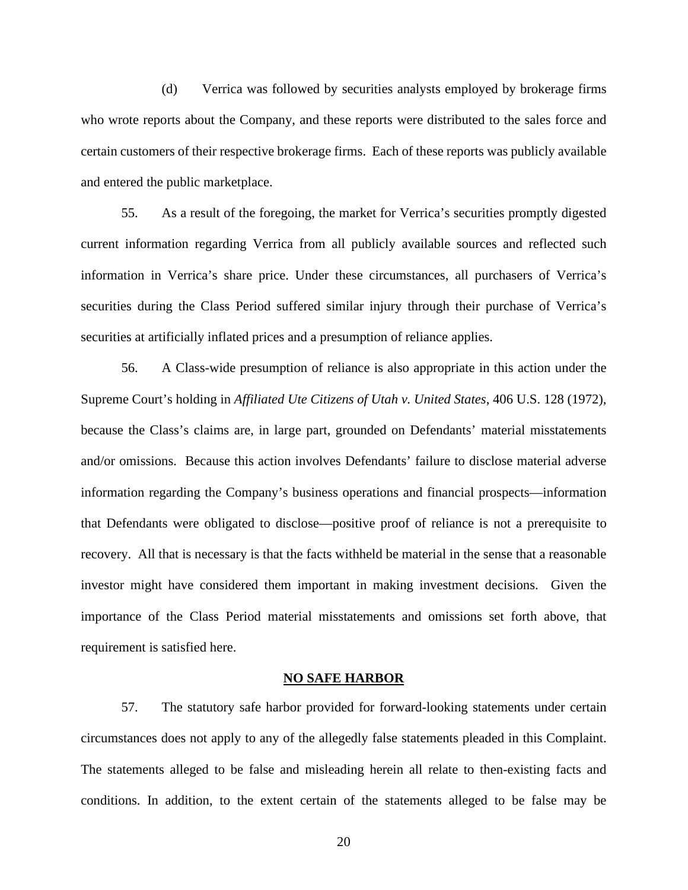(d) Verrica was followed by securities analysts employed by brokerage firms who wrote reports about the Company, and these reports were distributed to the sales force and certain customers of their respective brokerage firms. Each of these reports was publicly available and entered the public marketplace.

55. As a result of the foregoing, the market for Verrica's securities promptly digested current information regarding Verrica from all publicly available sources and reflected such information in Verrica's share price. Under these circumstances, all purchasers of Verrica's securities during the Class Period suffered similar injury through their purchase of Verrica's securities at artificially inflated prices and a presumption of reliance applies.

56. A Class-wide presumption of reliance is also appropriate in this action under the Supreme Court's holding in *Affiliated Ute Citizens of Utah v. United States*, 406 U.S. 128 (1972), because the Class's claims are, in large part, grounded on Defendants' material misstatements and/or omissions. Because this action involves Defendants' failure to disclose material adverse information regarding the Company's business operations and financial prospects—information that Defendants were obligated to disclose—positive proof of reliance is not a prerequisite to recovery. All that is necessary is that the facts withheld be material in the sense that a reasonable investor might have considered them important in making investment decisions. Given the importance of the Class Period material misstatements and omissions set forth above, that requirement is satisfied here.

#### **NO SAFE HARBOR**

57. The statutory safe harbor provided for forward-looking statements under certain circumstances does not apply to any of the allegedly false statements pleaded in this Complaint. The statements alleged to be false and misleading herein all relate to then-existing facts and conditions. In addition, to the extent certain of the statements alleged to be false may be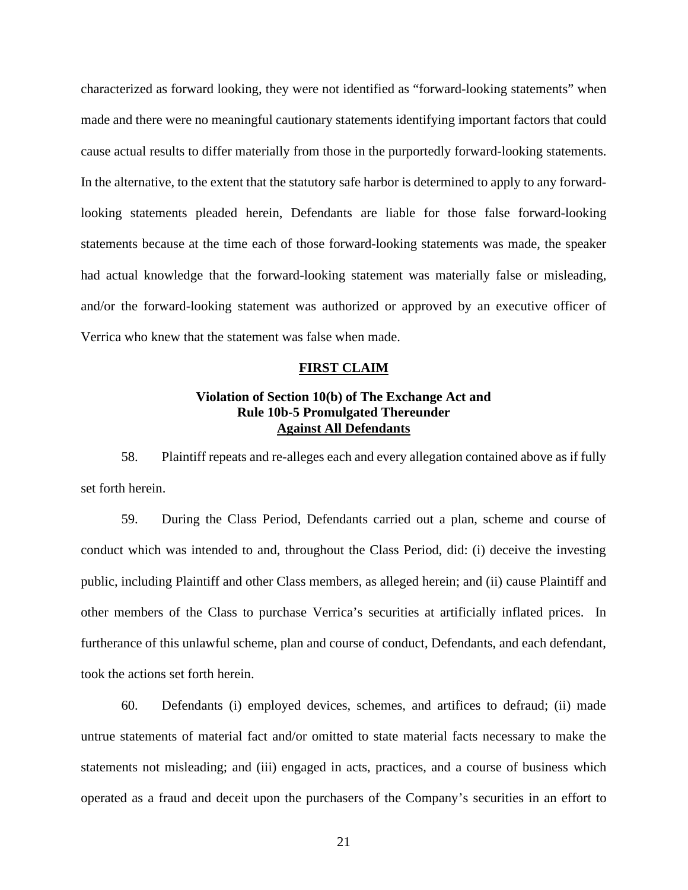characterized as forward looking, they were not identified as "forward-looking statements" when made and there were no meaningful cautionary statements identifying important factors that could cause actual results to differ materially from those in the purportedly forward-looking statements. In the alternative, to the extent that the statutory safe harbor is determined to apply to any forwardlooking statements pleaded herein, Defendants are liable for those false forward-looking statements because at the time each of those forward-looking statements was made, the speaker had actual knowledge that the forward-looking statement was materially false or misleading, and/or the forward-looking statement was authorized or approved by an executive officer of Verrica who knew that the statement was false when made.

#### **FIRST CLAIM**

# **Violation of Section 10(b) of The Exchange Act and Rule 10b-5 Promulgated Thereunder Against All Defendants**

58. Plaintiff repeats and re-alleges each and every allegation contained above as if fully set forth herein.

59. During the Class Period, Defendants carried out a plan, scheme and course of conduct which was intended to and, throughout the Class Period, did: (i) deceive the investing public, including Plaintiff and other Class members, as alleged herein; and (ii) cause Plaintiff and other members of the Class to purchase Verrica's securities at artificially inflated prices. In furtherance of this unlawful scheme, plan and course of conduct, Defendants, and each defendant, took the actions set forth herein.

60. Defendants (i) employed devices, schemes, and artifices to defraud; (ii) made untrue statements of material fact and/or omitted to state material facts necessary to make the statements not misleading; and (iii) engaged in acts, practices, and a course of business which operated as a fraud and deceit upon the purchasers of the Company's securities in an effort to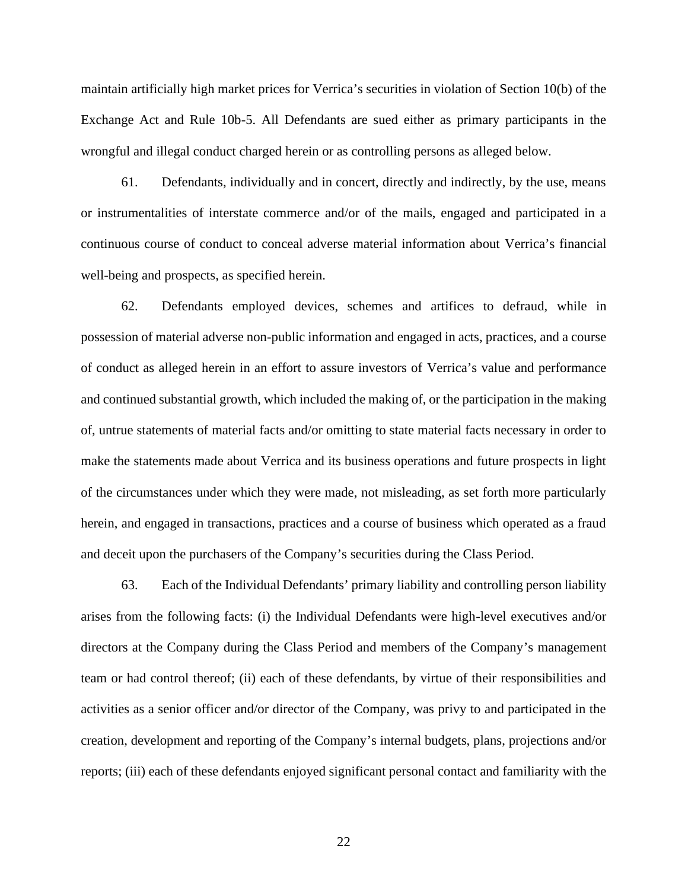maintain artificially high market prices for Verrica's securities in violation of Section 10(b) of the Exchange Act and Rule 10b-5. All Defendants are sued either as primary participants in the wrongful and illegal conduct charged herein or as controlling persons as alleged below.

61. Defendants, individually and in concert, directly and indirectly, by the use, means or instrumentalities of interstate commerce and/or of the mails, engaged and participated in a continuous course of conduct to conceal adverse material information about Verrica's financial well-being and prospects, as specified herein.

62. Defendants employed devices, schemes and artifices to defraud, while in possession of material adverse non-public information and engaged in acts, practices, and a course of conduct as alleged herein in an effort to assure investors of Verrica's value and performance and continued substantial growth, which included the making of, or the participation in the making of, untrue statements of material facts and/or omitting to state material facts necessary in order to make the statements made about Verrica and its business operations and future prospects in light of the circumstances under which they were made, not misleading, as set forth more particularly herein, and engaged in transactions, practices and a course of business which operated as a fraud and deceit upon the purchasers of the Company's securities during the Class Period.

63. Each of the Individual Defendants' primary liability and controlling person liability arises from the following facts: (i) the Individual Defendants were high-level executives and/or directors at the Company during the Class Period and members of the Company's management team or had control thereof; (ii) each of these defendants, by virtue of their responsibilities and activities as a senior officer and/or director of the Company, was privy to and participated in the creation, development and reporting of the Company's internal budgets, plans, projections and/or reports; (iii) each of these defendants enjoyed significant personal contact and familiarity with the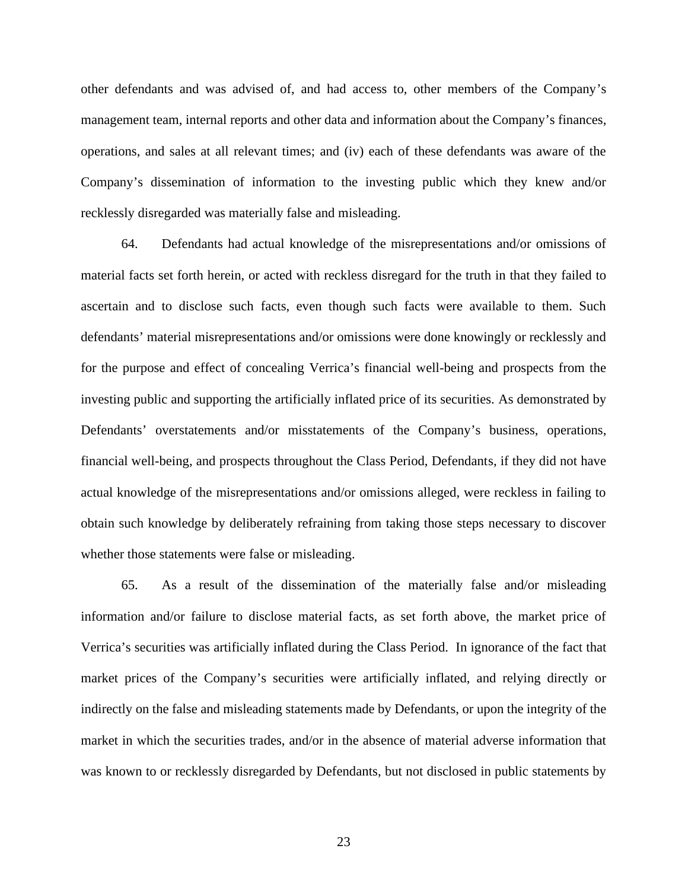other defendants and was advised of, and had access to, other members of the Company's management team, internal reports and other data and information about the Company's finances, operations, and sales at all relevant times; and (iv) each of these defendants was aware of the Company's dissemination of information to the investing public which they knew and/or recklessly disregarded was materially false and misleading.

64. Defendants had actual knowledge of the misrepresentations and/or omissions of material facts set forth herein, or acted with reckless disregard for the truth in that they failed to ascertain and to disclose such facts, even though such facts were available to them. Such defendants' material misrepresentations and/or omissions were done knowingly or recklessly and for the purpose and effect of concealing Verrica's financial well-being and prospects from the investing public and supporting the artificially inflated price of its securities. As demonstrated by Defendants' overstatements and/or misstatements of the Company's business, operations, financial well-being, and prospects throughout the Class Period, Defendants, if they did not have actual knowledge of the misrepresentations and/or omissions alleged, were reckless in failing to obtain such knowledge by deliberately refraining from taking those steps necessary to discover whether those statements were false or misleading.

65. As a result of the dissemination of the materially false and/or misleading information and/or failure to disclose material facts, as set forth above, the market price of Verrica's securities was artificially inflated during the Class Period. In ignorance of the fact that market prices of the Company's securities were artificially inflated, and relying directly or indirectly on the false and misleading statements made by Defendants, or upon the integrity of the market in which the securities trades, and/or in the absence of material adverse information that was known to or recklessly disregarded by Defendants, but not disclosed in public statements by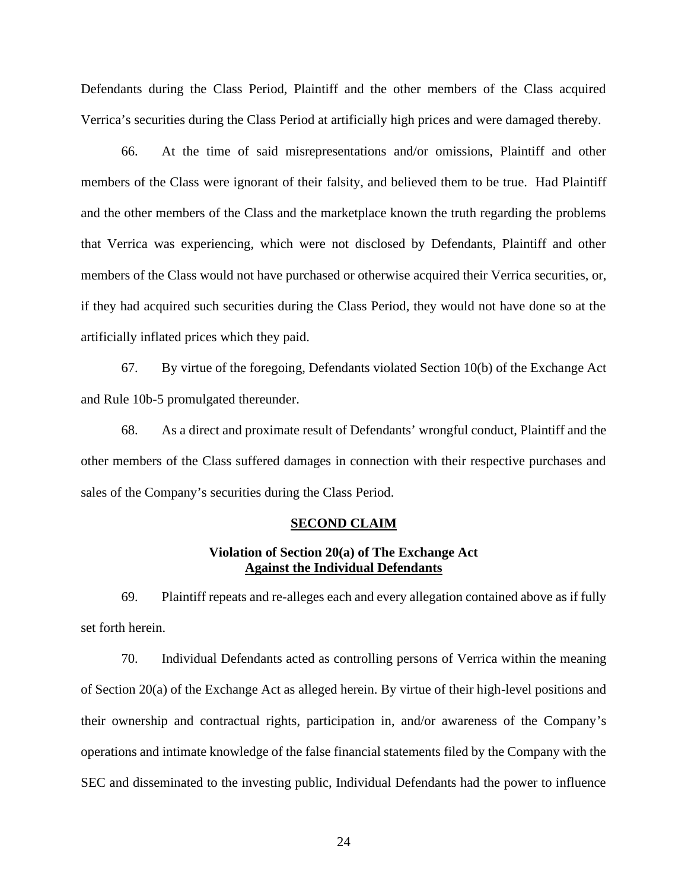Defendants during the Class Period, Plaintiff and the other members of the Class acquired Verrica's securities during the Class Period at artificially high prices and were damaged thereby.

66. At the time of said misrepresentations and/or omissions, Plaintiff and other members of the Class were ignorant of their falsity, and believed them to be true. Had Plaintiff and the other members of the Class and the marketplace known the truth regarding the problems that Verrica was experiencing, which were not disclosed by Defendants, Plaintiff and other members of the Class would not have purchased or otherwise acquired their Verrica securities, or, if they had acquired such securities during the Class Period, they would not have done so at the artificially inflated prices which they paid.

67. By virtue of the foregoing, Defendants violated Section 10(b) of the Exchange Act and Rule 10b-5 promulgated thereunder.

68. As a direct and proximate result of Defendants' wrongful conduct, Plaintiff and the other members of the Class suffered damages in connection with their respective purchases and sales of the Company's securities during the Class Period.

#### **SECOND CLAIM**

# **Violation of Section 20(a) of The Exchange Act Against the Individual Defendants**

69. Plaintiff repeats and re-alleges each and every allegation contained above as if fully set forth herein.

70. Individual Defendants acted as controlling persons of Verrica within the meaning of Section 20(a) of the Exchange Act as alleged herein. By virtue of their high-level positions and their ownership and contractual rights, participation in, and/or awareness of the Company's operations and intimate knowledge of the false financial statements filed by the Company with the SEC and disseminated to the investing public, Individual Defendants had the power to influence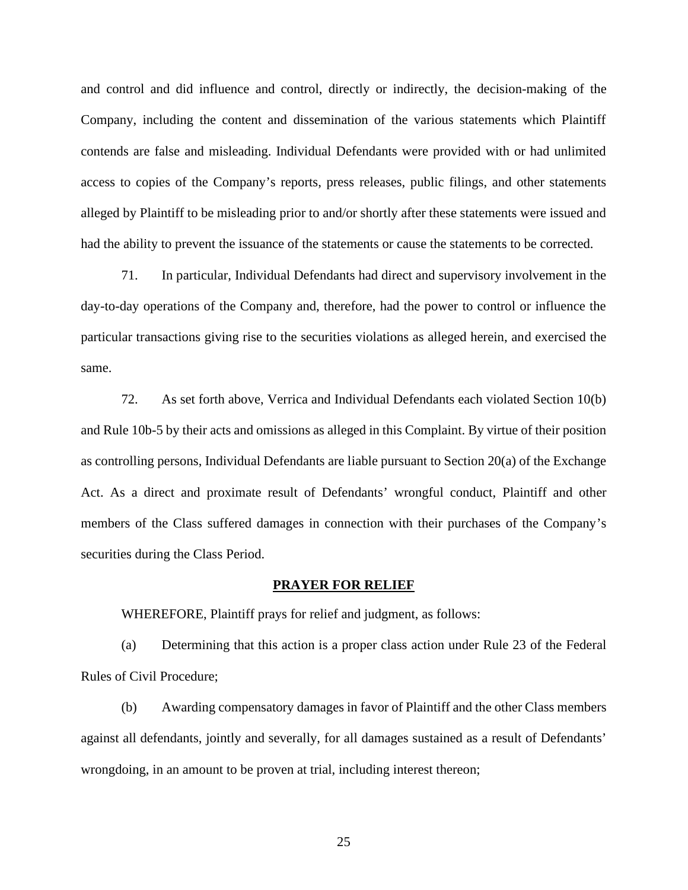and control and did influence and control, directly or indirectly, the decision-making of the Company, including the content and dissemination of the various statements which Plaintiff contends are false and misleading. Individual Defendants were provided with or had unlimited access to copies of the Company's reports, press releases, public filings, and other statements alleged by Plaintiff to be misleading prior to and/or shortly after these statements were issued and had the ability to prevent the issuance of the statements or cause the statements to be corrected.

71. In particular, Individual Defendants had direct and supervisory involvement in the day-to-day operations of the Company and, therefore, had the power to control or influence the particular transactions giving rise to the securities violations as alleged herein, and exercised the same.

72. As set forth above, Verrica and Individual Defendants each violated Section 10(b) and Rule 10b-5 by their acts and omissions as alleged in this Complaint. By virtue of their position as controlling persons, Individual Defendants are liable pursuant to Section 20(a) of the Exchange Act. As a direct and proximate result of Defendants' wrongful conduct, Plaintiff and other members of the Class suffered damages in connection with their purchases of the Company's securities during the Class Period.

#### **PRAYER FOR RELIEF**

WHEREFORE, Plaintiff prays for relief and judgment, as follows:

(a) Determining that this action is a proper class action under Rule 23 of the Federal Rules of Civil Procedure;

(b) Awarding compensatory damages in favor of Plaintiff and the other Class members against all defendants, jointly and severally, for all damages sustained as a result of Defendants' wrongdoing, in an amount to be proven at trial, including interest thereon;